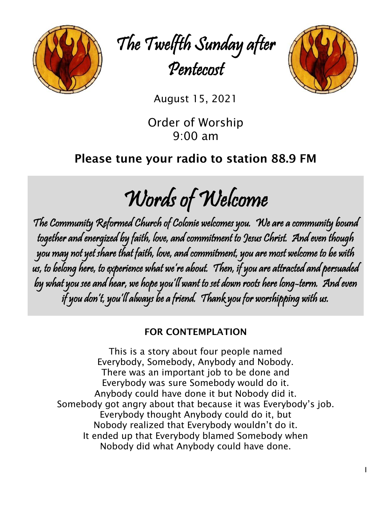

The Twelfth Sunday after Pentecost



August 15, 2021

Order of Worship 9:00 am

# Please tune your radio to station 88.9 FM

Words of Welcome

The Community Reformed Church of Colonie welcomes you. We are a community bound together and energized by faith, love, and commitment to Jesus Christ. And even though you may not yet share that faith, love, and commitment, you are most welcome to be with us, to belong here, to experience what we're about. Then, if you are attracted and persuaded by what you see and hear, we hope you'll want to set down roots here long-term. And even if you don't, you'll always be a friend. Thank you for worshipping with us.

# FOR CONTEMPLATION

This is a story about four people named Everybody, Somebody, Anybody and Nobody. There was an important job to be done and Everybody was sure Somebody would do it. Anybody could have done it but Nobody did it. Somebody got angry about that because it was Everybody's job. Everybody thought Anybody could do it, but Nobody realized that Everybody wouldn't do it. It ended up that Everybody blamed Somebody when Nobody did what Anybody could have done.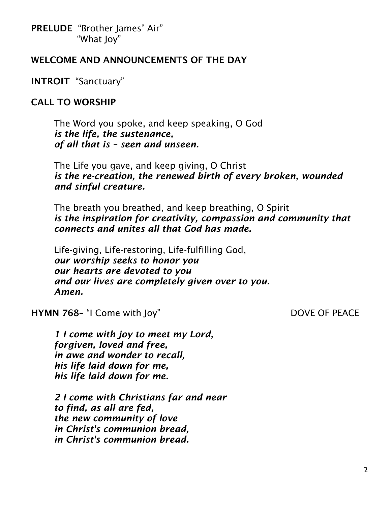PRELUDE "Brother James' Air" "What Joy"

## WELCOME AND ANNOUNCEMENTS OF THE DAY

INTROIT "Sanctuary"

## CALL TO WORSHIP

The Word you spoke, and keep speaking, O God *is the life, the sustenance, of all that is – seen and unseen.*

The Life you gave, and keep giving, O Christ *is the re-creation, the renewed birth of every broken, wounded and sinful creature.*

The breath you breathed, and keep breathing, O Spirit *is the inspiration for creativity, compassion and community that connects and unites all that God has made.*

Life-giving, Life-restoring, Life-fulfilling God, *our worship seeks to honor you our hearts are devoted to you and our lives are completely given over to you. Amen.*

### HYMN 768- "I Come with Joy" DOVE OF PEACE

*1 I come with joy to meet my Lord, forgiven, loved and free, in awe and wonder to recall, his life laid down for me, his life laid down for me.*

*2 I come with Christians far and near to find, as all are fed, the new community of love in Christ's communion bread, in Christ's communion bread.*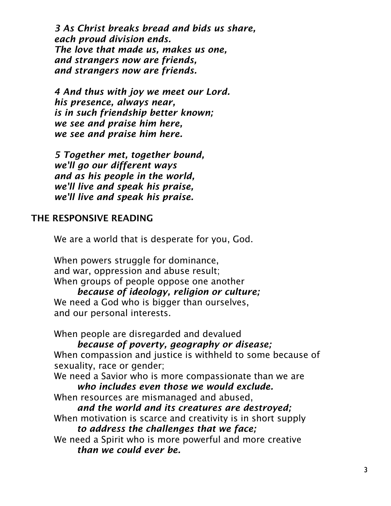*3 As Christ breaks bread and bids us share, each proud division ends. The love that made us, makes us one, and strangers now are friends, and strangers now are friends.*

*4 And thus with joy we meet our Lord. his presence, always near, is in such friendship better known; we see and praise him here, we see and praise him here.*

*5 Together met, together bound, we'll go our different ways and as his people in the world, we'll live and speak his praise, we'll live and speak his praise.*

# THE RESPONSIVE READING

We are a world that is desperate for you, God.

When powers struggle for dominance, and war, oppression and abuse result; When groups of people oppose one another

*because of ideology, religion or culture;* We need a God who is bigger than ourselves, and our personal interests.

When people are disregarded and devalued

### *because of poverty, geography or disease;*

When compassion and justice is withheld to some because of sexuality, race or gender;

We need a Savior who is more compassionate than we are *who includes even those we would exclude.*

When resources are mismanaged and abused,

*and the world and its creatures are destroyed;* When motivation is scarce and creativity is in short supply

*to address the challenges that we face;*

We need a Spirit who is more powerful and more creative *than we could ever be.*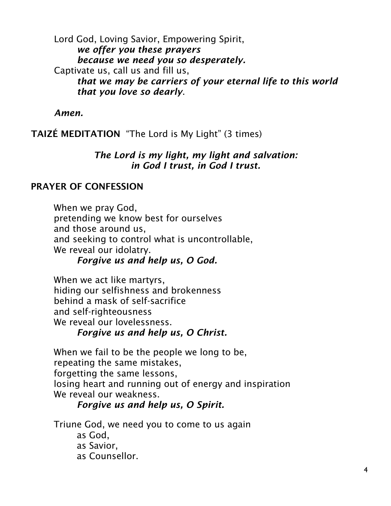Lord God, Loving Savior, Empowering Spirit, *we offer you these prayers because we need you so desperately.* Captivate us, call us and fill us, *that we may be carriers of your eternal life to this world that you love so dearly*.

*Amen.*

TAIZÉ MEDITATION "The Lord is My Light" (3 times)

# *The Lord is my light, my light and salvation: in God I trust, in God I trust.*

# PRAYER OF CONFESSION

When we pray God, pretending we know best for ourselves and those around us, and seeking to control what is uncontrollable, We reveal our idolatry.

# *Forgive us and help us, O God.*

When we act like martyrs, hiding our selfishness and brokenness behind a mask of self-sacrifice and self-righteousness We reveal our lovelessness.

# *Forgive us and help us, O Christ.*

When we fail to be the people we long to be, repeating the same mistakes, forgetting the same lessons, losing heart and running out of energy and inspiration We reveal our weakness.

# *Forgive us and help us, O Spirit.*

Triune God, we need you to come to us again

as God, as Savior, as Counsellor.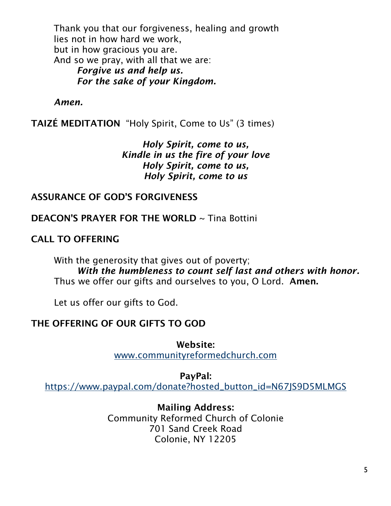Thank you that our forgiveness, healing and growth lies not in how hard we work, but in how gracious you are. And so we pray, with all that we are: *Forgive us and help us. For the sake of your Kingdom.*

*Amen.*

TAIZÉ MEDITATION "Holy Spirit, Come to Us" (3 times)

*Holy Spirit, come to us, Kindle in us the fire of your love Holy Spirit, come to us, Holy Spirit, come to us*

#### ASSURANCE OF GOD'S FORGIVENESS

DEACON'S PRAYER FOR THE WORLD ~ Tina Bottini

CALL TO OFFERING

With the generosity that gives out of poverty; *With the humbleness to count self last and others with honor.* Thus we offer our gifts and ourselves to you, O Lord. Amen.

Let us offer our gifts to God.

### THE OFFERING OF OUR GIFTS TO GOD

Website: [www.communityreformedchurch.com](http://www.communityreformedchurch.com/)

PayPal: [https://www.paypal.com/donate?hosted\\_button\\_id=N67JS9D5MLMGS](https://www.paypal.com/donate?hosted_button_id=N67JS9D5MLMGS)

> Mailing Address: Community Reformed Church of Colonie 701 Sand Creek Road Colonie, NY 12205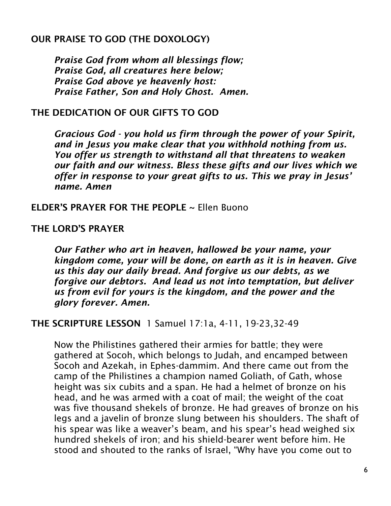# OUR PRAISE TO GOD (THE DOXOLOGY)

*Praise God from whom all blessings flow; Praise God, all creatures here below; Praise God above ye heavenly host: Praise Father, Son and Holy Ghost. Amen.*

### THE DEDICATION OF OUR GIFTS TO GOD

*Gracious God - you hold us firm through the power of your Spirit, and in Jesus you make clear that you withhold nothing from us. You offer us strength to withstand all that threatens to weaken our faith and our witness. Bless these gifts and our lives which we offer in response to your great gifts to us. This we pray in Jesus' name. Amen*

### ELDER'S PRAYER FOR THE PEOPLE ~ Ellen Buono

### THE LORD'S PRAYER

*Our Father who art in heaven, hallowed be your name, your kingdom come, your will be done, on earth as it is in heaven. Give us this day our daily bread. And forgive us our debts, as we forgive our debtors. And lead us not into temptation, but deliver us from evil for yours is the kingdom, and the power and the glory forever. Amen.*

### THE SCRIPTURE LESSON 1 Samuel 17:1a, 4-11, 19-23,32-49

Now the Philistines gathered their armies for battle; they were gathered at Socoh, which belongs to Judah, and encamped between Socoh and Azekah, in Ephes-dammim. And there came out from the camp of the Philistines a champion named Goliath, of Gath, whose height was six cubits and a span. He had a helmet of bronze on his head, and he was armed with a coat of mail; the weight of the coat was five thousand shekels of bronze. He had greaves of bronze on his legs and a javelin of bronze slung between his shoulders. The shaft of his spear was like a weaver's beam, and his spear's head weighed six hundred shekels of iron; and his shield-bearer went before him. He stood and shouted to the ranks of Israel, "Why have you come out to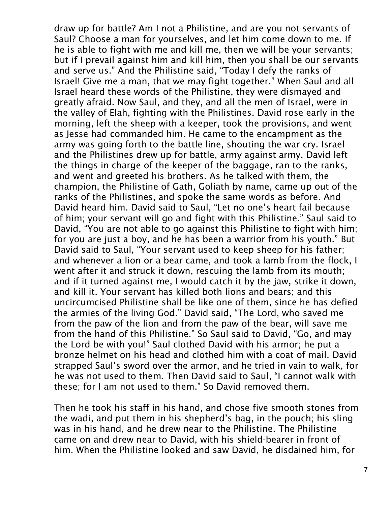draw up for battle? Am I not a Philistine, and are you not servants of Saul? Choose a man for yourselves, and let him come down to me. If he is able to fight with me and kill me, then we will be your servants; but if I prevail against him and kill him, then you shall be our servants and serve us." And the Philistine said, "Today I defy the ranks of Israel! Give me a man, that we may fight together." When Saul and all Israel heard these words of the Philistine, they were dismayed and greatly afraid. Now Saul, and they, and all the men of Israel, were in the valley of Elah, fighting with the Philistines. David rose early in the morning, left the sheep with a keeper, took the provisions, and went as Jesse had commanded him. He came to the encampment as the army was going forth to the battle line, shouting the war cry. Israel and the Philistines drew up for battle, army against army. David left the things in charge of the keeper of the baggage, ran to the ranks, and went and greeted his brothers. As he talked with them, the champion, the Philistine of Gath, Goliath by name, came up out of the ranks of the Philistines, and spoke the same words as before. And David heard him. David said to Saul, "Let no one's heart fail because of him; your servant will go and fight with this Philistine." Saul said to David, "You are not able to go against this Philistine to fight with him; for you are just a boy, and he has been a warrior from his youth." But David said to Saul, "Your servant used to keep sheep for his father; and whenever a lion or a bear came, and took a lamb from the flock, I went after it and struck it down, rescuing the lamb from its mouth; and if it turned against me, I would catch it by the jaw, strike it down, and kill it. Your servant has killed both lions and bears; and this uncircumcised Philistine shall be like one of them, since he has defied the armies of the living God." David said, "The Lord, who saved me from the paw of the lion and from the paw of the bear, will save me from the hand of this Philistine." So Saul said to David, "Go, and may the Lord be with you!" Saul clothed David with his armor; he put a bronze helmet on his head and clothed him with a coat of mail. David strapped Saul's sword over the armor, and he tried in vain to walk, for he was not used to them. Then David said to Saul, "I cannot walk with these; for I am not used to them." So David removed them.

Then he took his staff in his hand, and chose five smooth stones from the wadi, and put them in his shepherd's bag, in the pouch; his sling was in his hand, and he drew near to the Philistine. The Philistine came on and drew near to David, with his shield-bearer in front of him. When the Philistine looked and saw David, he disdained him, for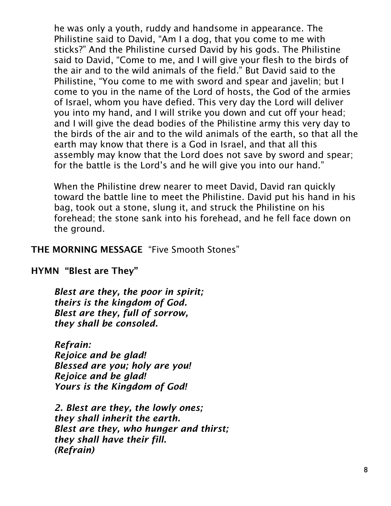he was only a youth, ruddy and handsome in appearance. The Philistine said to David, "Am I a dog, that you come to me with sticks?" And the Philistine cursed David by his gods. The Philistine said to David, "Come to me, and I will give your flesh to the birds of the air and to the wild animals of the field." But David said to the Philistine, "You come to me with sword and spear and javelin; but I come to you in the name of the Lord of hosts, the God of the armies of Israel, whom you have defied. This very day the Lord will deliver you into my hand, and I will strike you down and cut off your head; and I will give the dead bodies of the Philistine army this very day to the birds of the air and to the wild animals of the earth, so that all the earth may know that there is a God in Israel, and that all this assembly may know that the Lord does not save by sword and spear; for the battle is the Lord's and he will give you into our hand."

When the Philistine drew nearer to meet David, David ran quickly toward the battle line to meet the Philistine. David put his hand in his bag, took out a stone, slung it, and struck the Philistine on his forehead; the stone sank into his forehead, and he fell face down on the ground.

THE MORNING MESSAGE "Five Smooth Stones"

HYMN "Blest are They"

*Blest are they, the poor in spirit; theirs is the kingdom of God. Blest are they, full of sorrow, they shall be consoled.*

*Refrain: Rejoice and be glad! Blessed are you; holy are you! Rejoice and be glad! Yours is the Kingdom of God!*

*2. Blest are they, the lowly ones; they shall inherit the earth. Blest are they, who hunger and thirst; they shall have their fill. (Refrain)*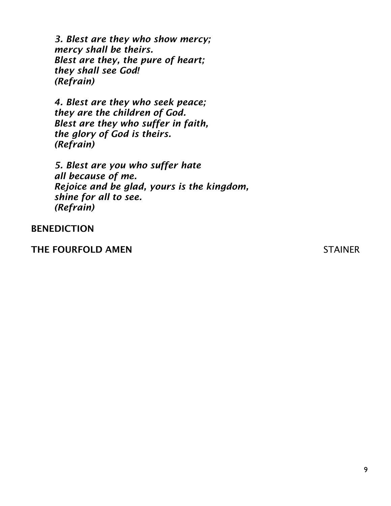*3. Blest are they who show mercy; mercy shall be theirs. Blest are they, the pure of heart; they shall see God! (Refrain)*

*4. Blest are they who seek peace; they are the children of God. Blest are they who suffer in faith, the glory of God is theirs. (Refrain)*

*5. Blest are you who suffer hate all because of me. Rejoice and be glad, yours is the kingdom, shine for all to see. (Refrain)*

BENEDICTION

THE FOURFOLD AMEN STAINER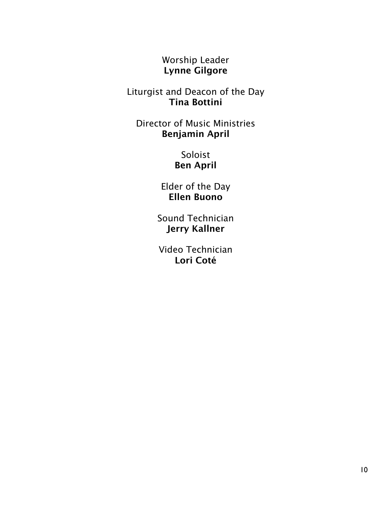Worship Leader Lynne Gilgore

Liturgist and Deacon of the Day Tina Bottini

Director of Music Ministries Benjamin April

> Soloist Ben April

Elder of the Day Ellen Buono

Sound Technician Jerry Kallner

Video Technician Lori Coté